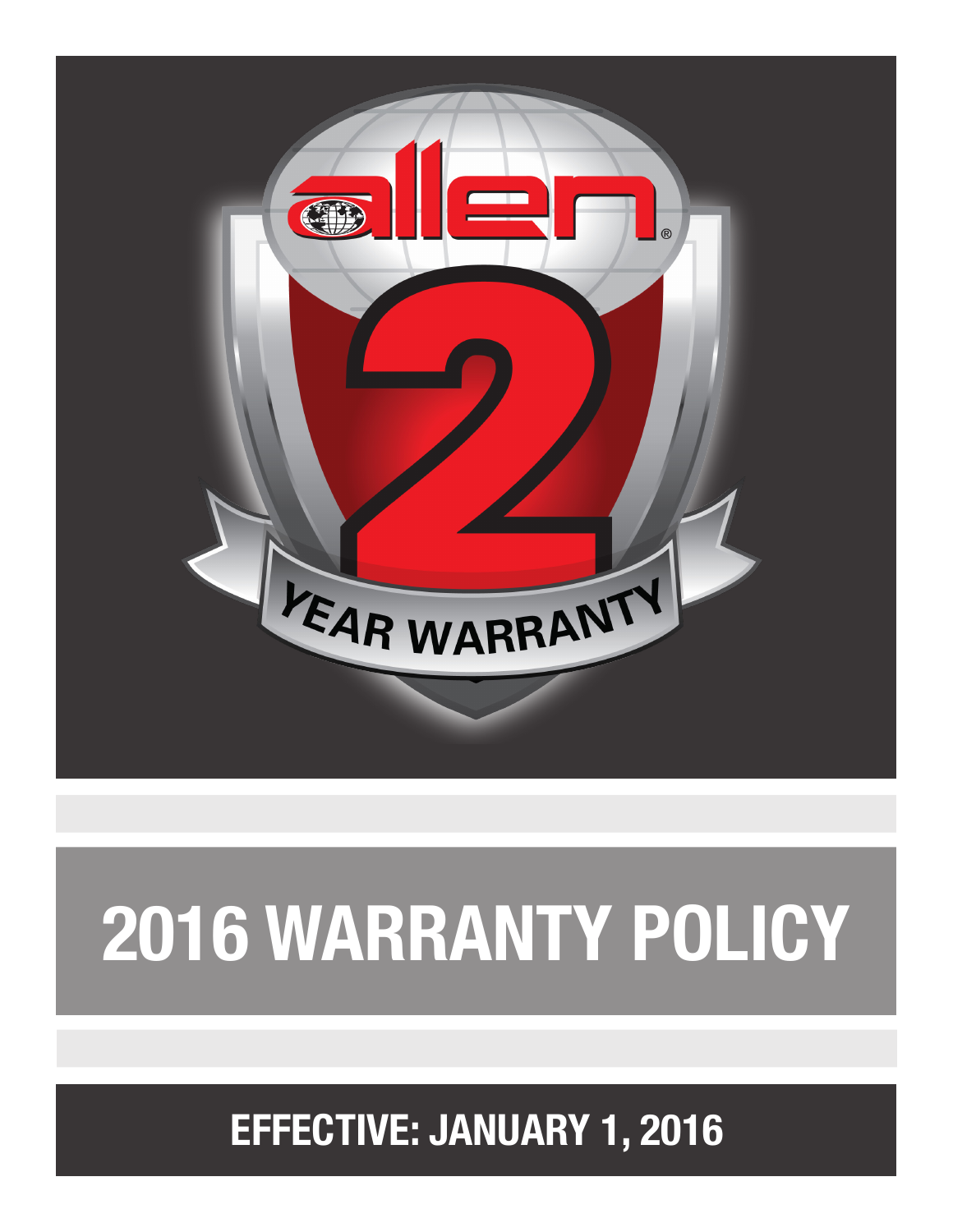

## **2016 WARRANTY POLICY**

**EFFECTIVE: JANUARY 1, 2016**